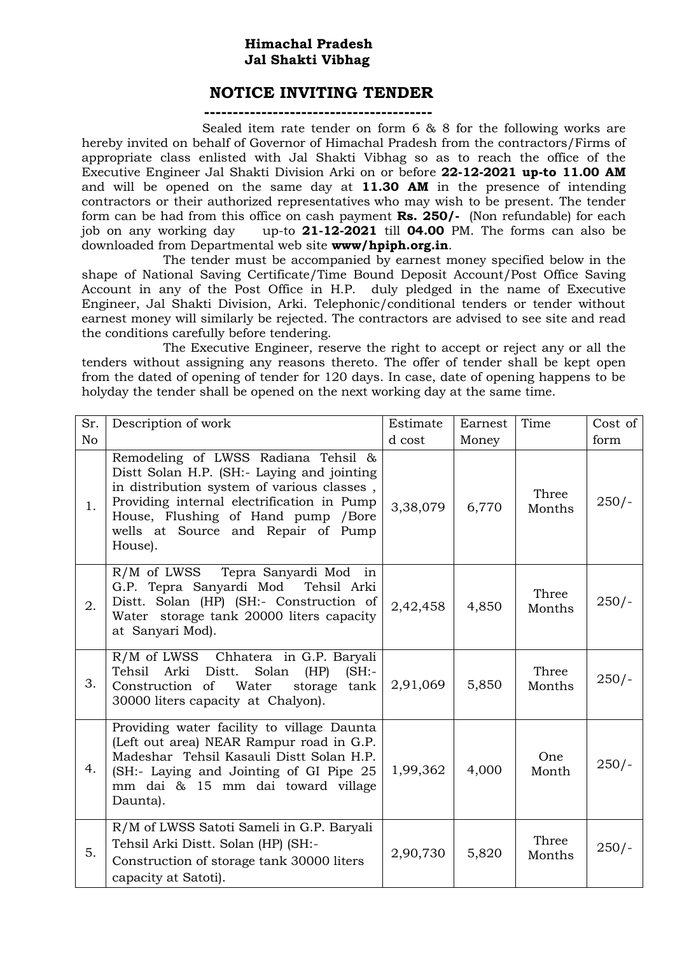## **Himachal Pradesh Jal Shakti Vibhag**

## **NOTICE INVITING TENDER**

**----------------------------------------**

 Sealed item rate tender on form 6 & 8 for the following works are hereby invited on behalf of Governor of Himachal Pradesh from the contractors/Firms of appropriate class enlisted with Jal Shakti Vibhag so as to reach the office of the Executive Engineer Jal Shakti Division Arki on or before **22-12-2021 up-to 11.00 AM**  and will be opened on the same day at **11.30 AM** in the presence of intending contractors or their authorized representatives who may wish to be present. The tender form can be had from this office on cash payment **Rs. 250/-** (Non refundable) for each job on any working day up-to **21-12-2021** till **04.00** PM. The forms can also be downloaded from Departmental web site **www/hpiph.org.in**.

The tender must be accompanied by earnest money specified below in the shape of National Saving Certificate/Time Bound Deposit Account/Post Office Saving Account in any of the Post Office in H.P. duly pledged in the name of Executive Engineer, Jal Shakti Division, Arki. Telephonic/conditional tenders or tender without earnest money will similarly be rejected. The contractors are advised to see site and read the conditions carefully before tendering.

The Executive Engineer, reserve the right to accept or reject any or all the tenders without assigning any reasons thereto. The offer of tender shall be kept open from the dated of opening of tender for 120 days. In case, date of opening happens to be holyday the tender shall be opened on the next working day at the same time.

| Sr.            | Description of work                                                                                                                                                                                                                                                   | Estimate | Earnest | Time            | Cost of |
|----------------|-----------------------------------------------------------------------------------------------------------------------------------------------------------------------------------------------------------------------------------------------------------------------|----------|---------|-----------------|---------|
| N <sub>o</sub> |                                                                                                                                                                                                                                                                       | d cost   | Money   |                 | form    |
| 1.             | Remodeling of LWSS Radiana Tehsil &<br>Distt Solan H.P. (SH:- Laying and jointing<br>in distribution system of various classes,<br>Providing internal electrification in Pump<br>House, Flushing of Hand pump / Bore<br>wells at Source and Repair of Pump<br>House). | 3,38,079 | 6,770   | Three<br>Months | $250/-$ |
| 2.             | Tepra Sanyardi Mod in<br>$R/M$ of LWSS<br>G.P. Tepra Sanyardi Mod<br>Tehsil Arki<br>Distt. Solan (HP) (SH:- Construction of<br>Water storage tank 20000 liters capacity<br>at Sanyari Mod).                                                                           | 2,42,458 | 4,850   | Three<br>Months | $250/-$ |
| 3.             | R/M of LWSS Chhatera in G.P. Baryali<br>Tehsil Arki Distt.<br>Solan<br>(HP)<br>(SH:<br>Construction of<br>Water<br>storage tank<br>30000 liters capacity at Chalyon).                                                                                                 | 2,91,069 | 5,850   | Three<br>Months | $250/-$ |
| 4.             | Providing water facility to village Daunta<br>(Left out area) NEAR Rampur road in G.P.<br>Madeshar Tehsil Kasauli Distt Solan H.P.<br>(SH:- Laying and Jointing of GI Pipe 25<br>mm dai & 15 mm dai toward village<br>Daunta).                                        | 1,99,362 | 4,000   | One<br>Month    | $250/-$ |
| 5.             | R/M of LWSS Satoti Sameli in G.P. Baryali<br>Tehsil Arki Distt. Solan (HP) (SH:-<br>Construction of storage tank 30000 liters<br>capacity at Satoti).                                                                                                                 | 2,90,730 | 5,820   | Three<br>Months | $250/-$ |